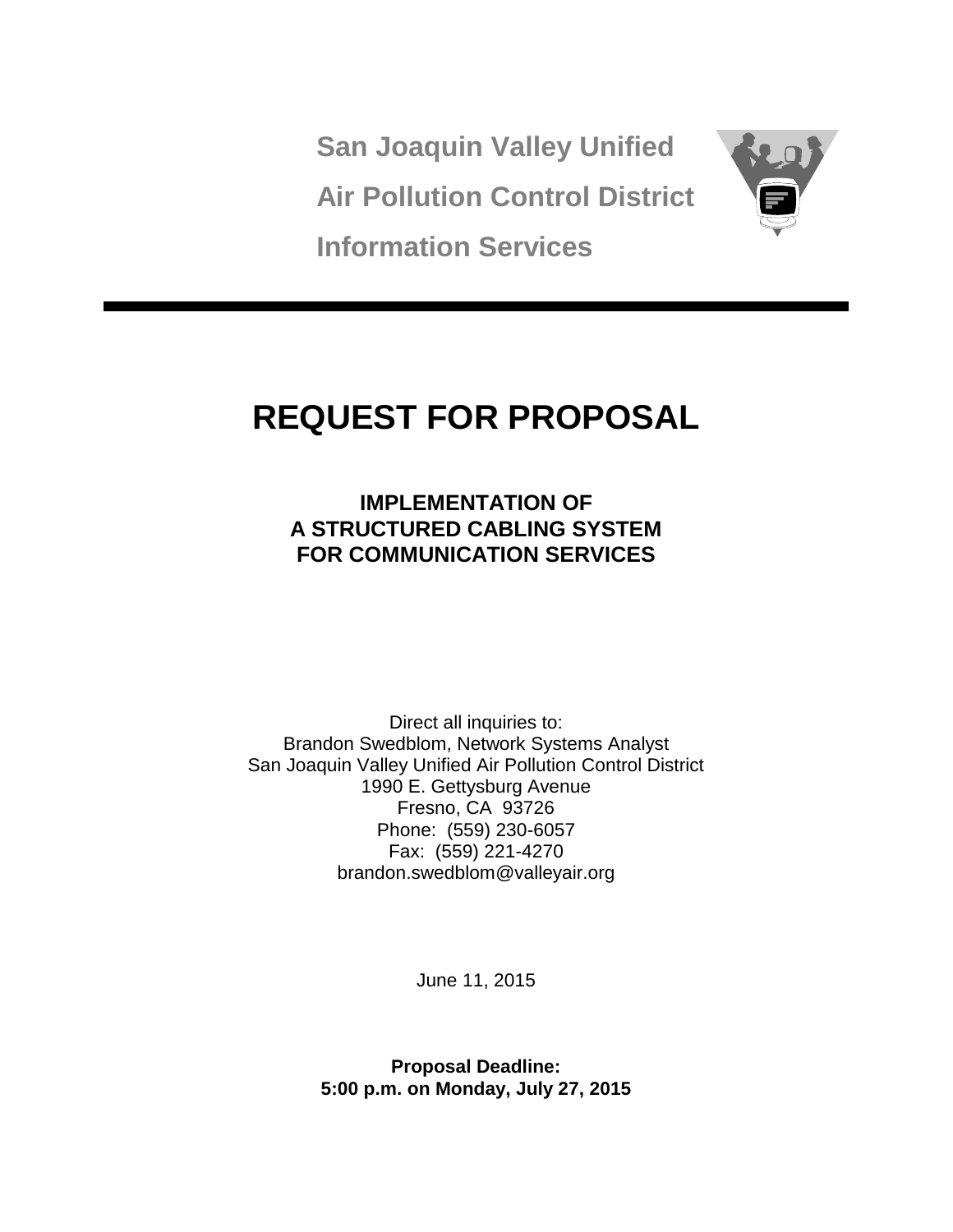**San Joaquin Valley Unified Air Pollution Control District Information Services**



# **REQUEST FOR PROPOSAL**

**IMPLEMENTATION OF A STRUCTURED CABLING SYSTEM FOR COMMUNICATION SERVICES**

Direct all inquiries to: Brandon Swedblom, Network Systems Analyst San Joaquin Valley Unified Air Pollution Control District 1990 E. Gettysburg Avenue Fresno, CA 93726 Phone: (559) 230-6057 Fax: (559) 221-4270 brandon.swedblom@valleyair.org

June 11, 2015

**Proposal Deadline: 5:00 p.m. on Monday, July 27, 2015**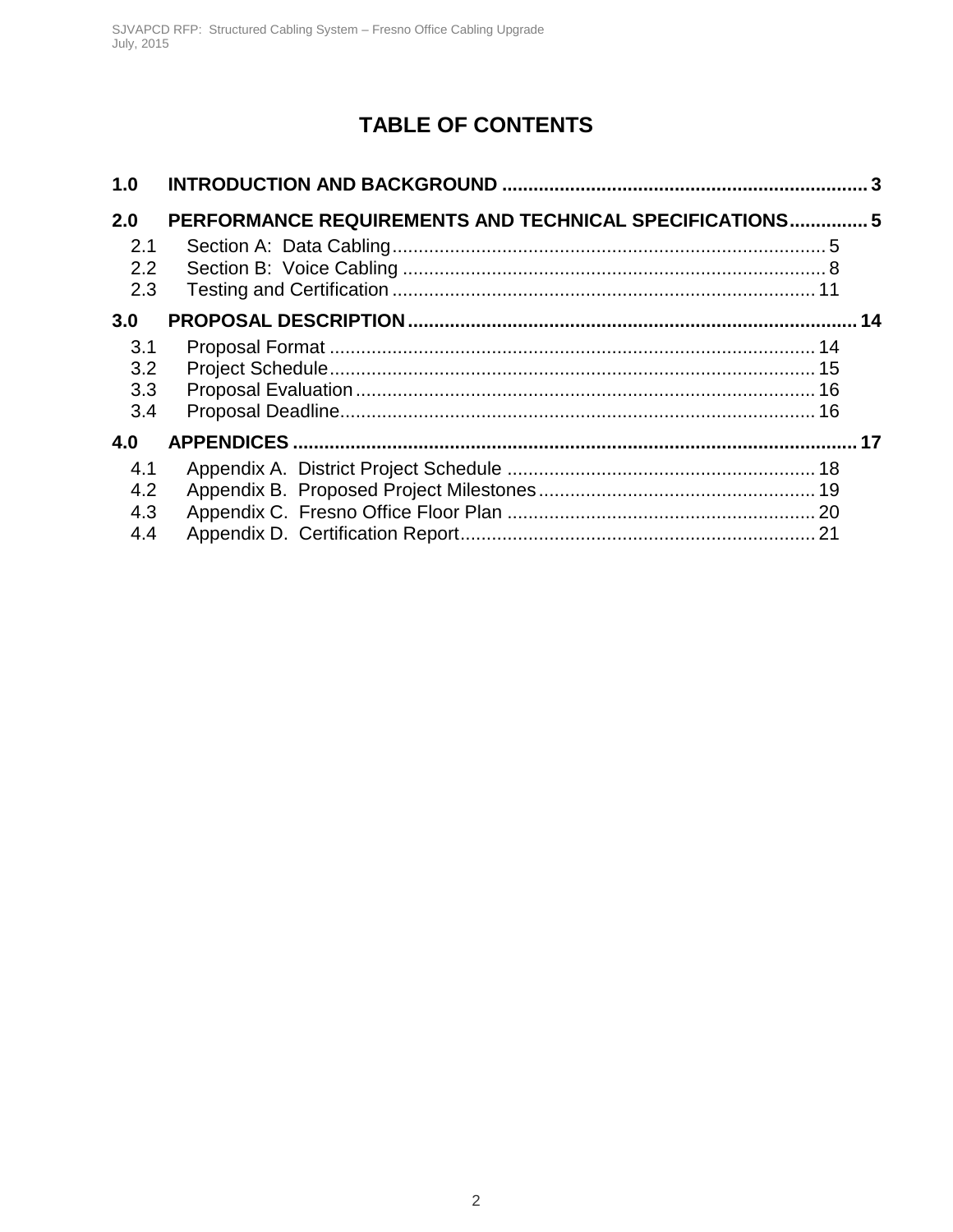## **TABLE OF CONTENTS**

| 1.0                      |                                                         |  |
|--------------------------|---------------------------------------------------------|--|
| 2.0                      | PERFORMANCE REQUIREMENTS AND TECHNICAL SPECIFICATIONS 5 |  |
| 2.1<br>2.2<br>2.3        |                                                         |  |
| 3.0                      |                                                         |  |
| 3.1<br>3.2<br>3.3<br>3.4 |                                                         |  |
| 4.0                      |                                                         |  |
| 4.1<br>4.2<br>4.3<br>4.4 |                                                         |  |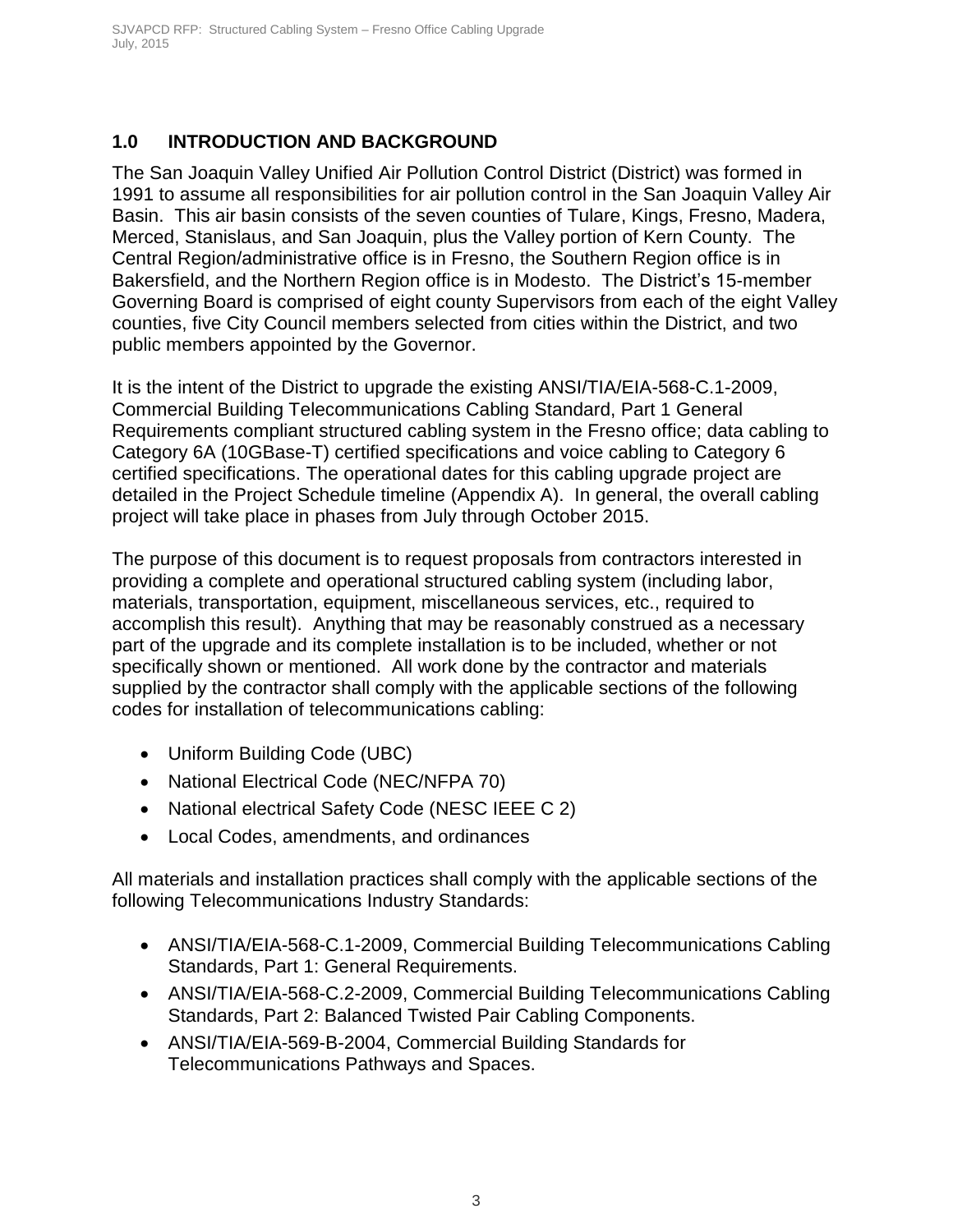### <span id="page-3-0"></span>**1.0 INTRODUCTION AND BACKGROUND**

The San Joaquin Valley Unified Air Pollution Control District (District) was formed in 1991 to assume all responsibilities for air pollution control in the San Joaquin Valley Air Basin. This air basin consists of the seven counties of Tulare, Kings, Fresno, Madera, Merced, Stanislaus, and San Joaquin, plus the Valley portion of Kern County. The Central Region/administrative office is in Fresno, the Southern Region office is in Bakersfield, and the Northern Region office is in Modesto. The District's 15-member Governing Board is comprised of eight county Supervisors from each of the eight Valley counties, five City Council members selected from cities within the District, and two public members appointed by the Governor.

It is the intent of the District to upgrade the existing ANSI/TIA/EIA-568-C.1-2009, Commercial Building Telecommunications Cabling Standard, Part 1 General Requirements compliant structured cabling system in the Fresno office; data cabling to Category 6A (10GBase-T) certified specifications and voice cabling to Category 6 certified specifications. The operational dates for this cabling upgrade project are detailed in the Project Schedule timeline (Appendix A). In general, the overall cabling project will take place in phases from July through October 2015.

The purpose of this document is to request proposals from contractors interested in providing a complete and operational structured cabling system (including labor, materials, transportation, equipment, miscellaneous services, etc., required to accomplish this result). Anything that may be reasonably construed as a necessary part of the upgrade and its complete installation is to be included, whether or not specifically shown or mentioned. All work done by the contractor and materials supplied by the contractor shall comply with the applicable sections of the following codes for installation of telecommunications cabling:

- Uniform Building Code (UBC)
- National Electrical Code (NEC/NFPA 70)
- National electrical Safety Code (NESC IEEE C 2)
- Local Codes, amendments, and ordinances

All materials and installation practices shall comply with the applicable sections of the following Telecommunications Industry Standards:

- ANSI/TIA/EIA-568-C.1-2009, Commercial Building Telecommunications Cabling Standards, Part 1: General Requirements.
- ANSI/TIA/EIA-568-C.2-2009, Commercial Building Telecommunications Cabling Standards, Part 2: Balanced Twisted Pair Cabling Components.
- ANSI/TIA/EIA-569-B-2004, Commercial Building Standards for Telecommunications Pathways and Spaces.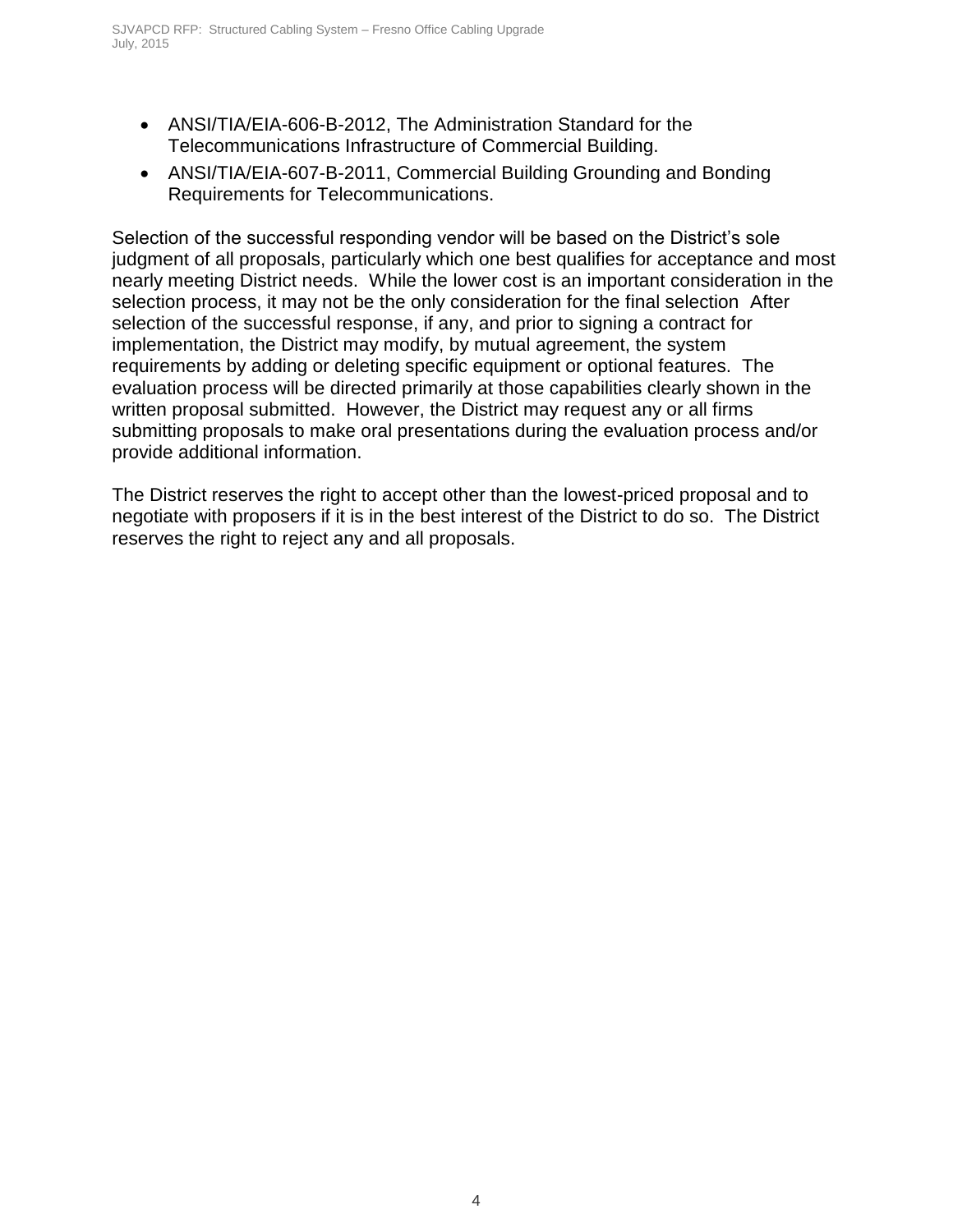- ANSI/TIA/EIA-606-B-2012, The Administration Standard for the Telecommunications Infrastructure of Commercial Building.
- ANSI/TIA/EIA-607-B-2011, Commercial Building Grounding and Bonding Requirements for Telecommunications.

Selection of the successful responding vendor will be based on the District's sole judgment of all proposals, particularly which one best qualifies for acceptance and most nearly meeting District needs. While the lower cost is an important consideration in the selection process, it may not be the only consideration for the final selection After selection of the successful response, if any, and prior to signing a contract for implementation, the District may modify, by mutual agreement, the system requirements by adding or deleting specific equipment or optional features. The evaluation process will be directed primarily at those capabilities clearly shown in the written proposal submitted. However, the District may request any or all firms submitting proposals to make oral presentations during the evaluation process and/or provide additional information.

The District reserves the right to accept other than the lowest-priced proposal and to negotiate with proposers if it is in the best interest of the District to do so. The District reserves the right to reject any and all proposals.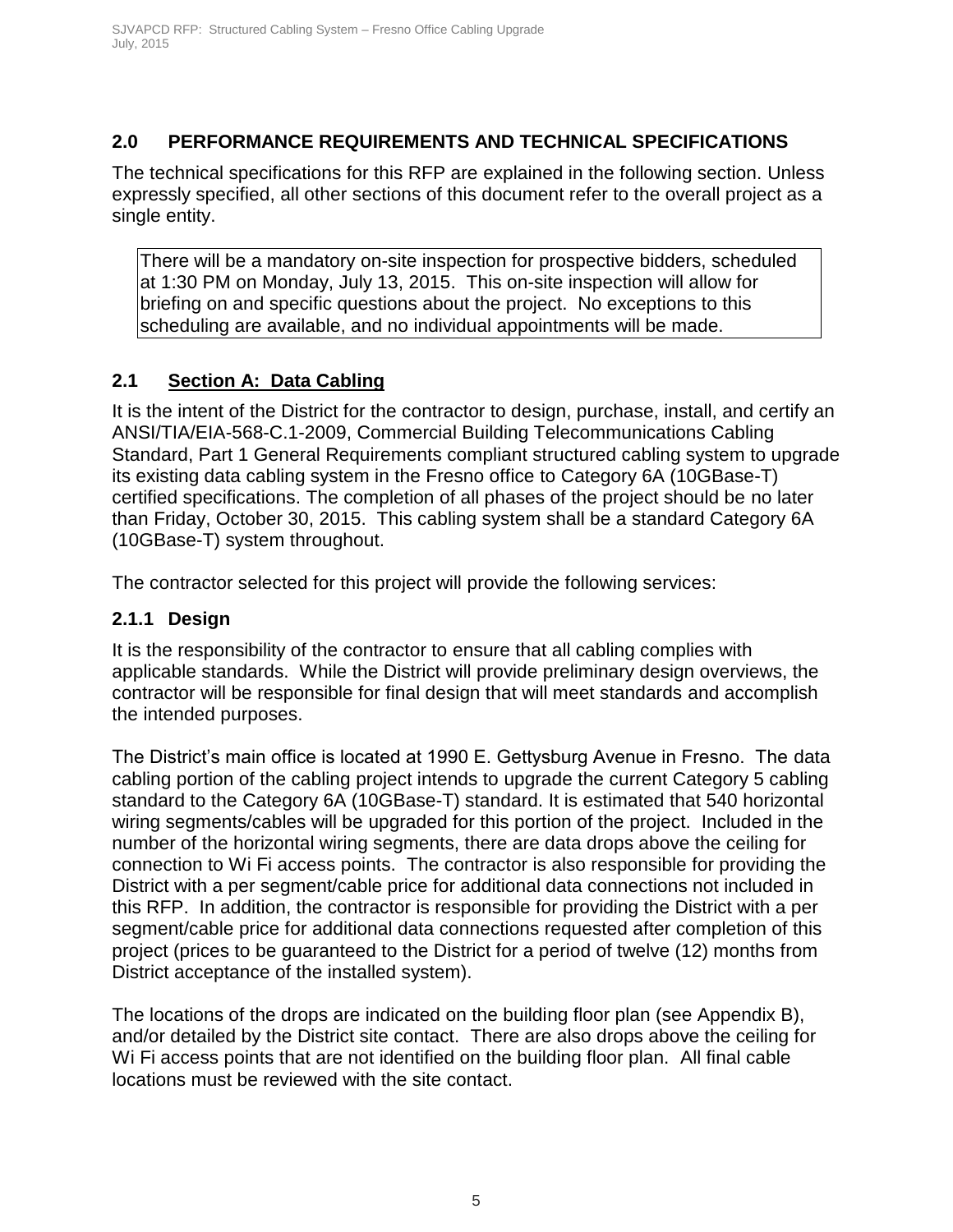### <span id="page-5-0"></span>**2.0 PERFORMANCE REQUIREMENTS AND TECHNICAL SPECIFICATIONS**

The technical specifications for this RFP are explained in the following section. Unless expressly specified, all other sections of this document refer to the overall project as a single entity.

There will be a mandatory on-site inspection for prospective bidders, scheduled at 1:30 PM on Monday, July 13, 2015. This on-site inspection will allow for briefing on and specific questions about the project. No exceptions to this scheduling are available, and no individual appointments will be made.

### <span id="page-5-1"></span>**2.1 Section A: Data Cabling**

It is the intent of the District for the contractor to design, purchase, install, and certify an ANSI/TIA/EIA-568-C.1-2009, Commercial Building Telecommunications Cabling Standard, Part 1 General Requirements compliant structured cabling system to upgrade its existing data cabling system in the Fresno office to Category 6A (10GBase-T) certified specifications. The completion of all phases of the project should be no later than Friday, October 30, 2015. This cabling system shall be a standard Category 6A (10GBase-T) system throughout.

The contractor selected for this project will provide the following services:

### **2.1.1 Design**

It is the responsibility of the contractor to ensure that all cabling complies with applicable standards. While the District will provide preliminary design overviews, the contractor will be responsible for final design that will meet standards and accomplish the intended purposes.

The District's main office is located at 1990 E. Gettysburg Avenue in Fresno. The data cabling portion of the cabling project intends to upgrade the current Category 5 cabling standard to the Category 6A (10GBase-T) standard. It is estimated that 540 horizontal wiring segments/cables will be upgraded for this portion of the project. Included in the number of the horizontal wiring segments, there are data drops above the ceiling for connection to Wi Fi access points. The contractor is also responsible for providing the District with a per segment/cable price for additional data connections not included in this RFP. In addition, the contractor is responsible for providing the District with a per segment/cable price for additional data connections requested after completion of this project (prices to be guaranteed to the District for a period of twelve (12) months from District acceptance of the installed system).

The locations of the drops are indicated on the building floor plan (see Appendix B), and/or detailed by the District site contact. There are also drops above the ceiling for Wi Fi access points that are not identified on the building floor plan. All final cable locations must be reviewed with the site contact.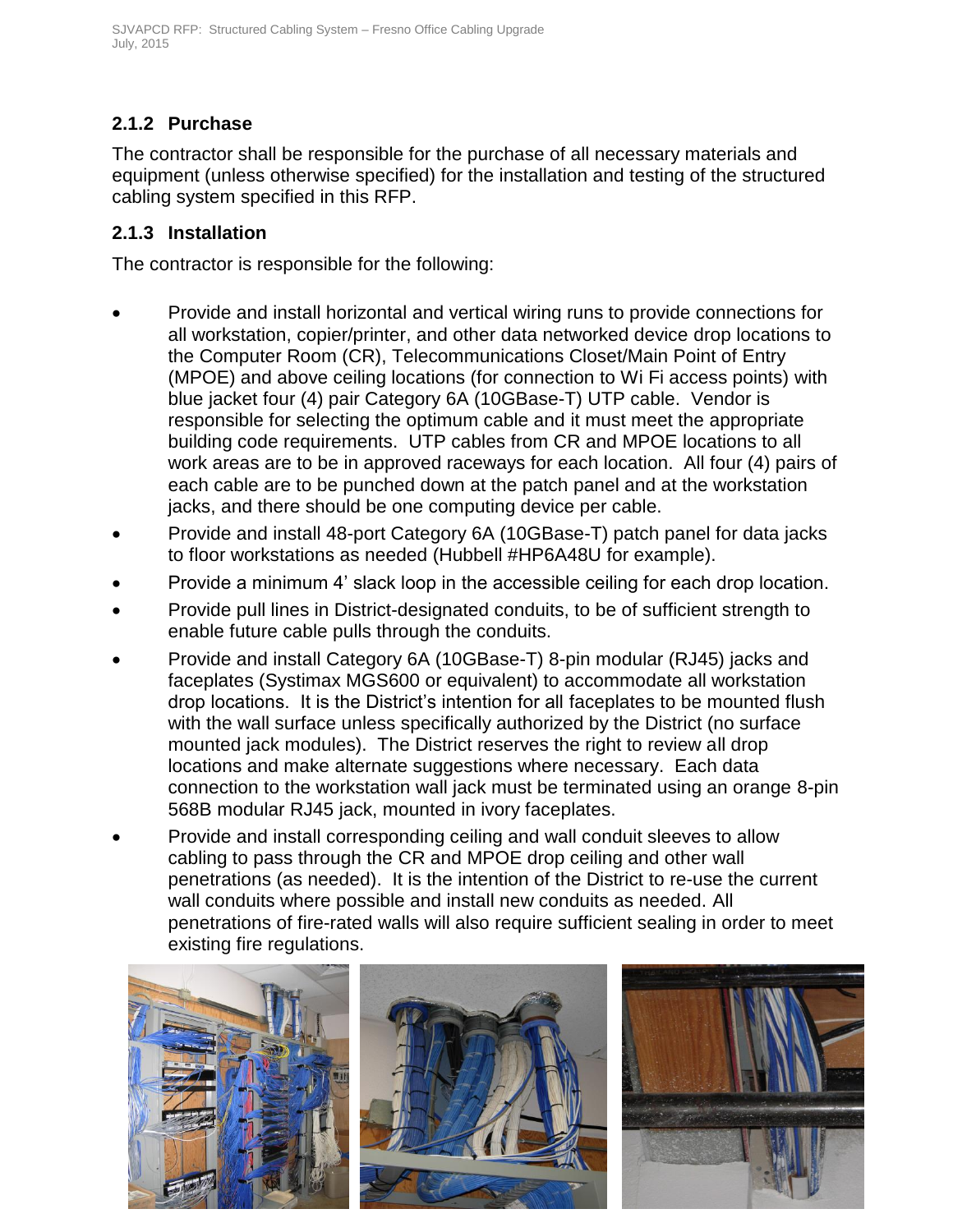### **2.1.2 Purchase**

The contractor shall be responsible for the purchase of all necessary materials and equipment (unless otherwise specified) for the installation and testing of the structured cabling system specified in this RFP.

### **2.1.3 Installation**

The contractor is responsible for the following:

- Provide and install horizontal and vertical wiring runs to provide connections for all workstation, copier/printer, and other data networked device drop locations to the Computer Room (CR), Telecommunications Closet/Main Point of Entry (MPOE) and above ceiling locations (for connection to Wi Fi access points) with blue jacket four (4) pair Category 6A (10GBase-T) UTP cable. Vendor is responsible for selecting the optimum cable and it must meet the appropriate building code requirements. UTP cables from CR and MPOE locations to all work areas are to be in approved raceways for each location. All four (4) pairs of each cable are to be punched down at the patch panel and at the workstation jacks, and there should be one computing device per cable.
- Provide and install 48-port Category 6A (10GBase-T) patch panel for data jacks to floor workstations as needed (Hubbell #HP6A48U for example).
- Provide a minimum 4' slack loop in the accessible ceiling for each drop location.
- Provide pull lines in District-designated conduits, to be of sufficient strength to enable future cable pulls through the conduits.
- Provide and install Category 6A (10GBase-T) 8-pin modular (RJ45) jacks and faceplates (Systimax MGS600 or equivalent) to accommodate all workstation drop locations. It is the District's intention for all faceplates to be mounted flush with the wall surface unless specifically authorized by the District (no surface mounted jack modules). The District reserves the right to review all drop locations and make alternate suggestions where necessary. Each data connection to the workstation wall jack must be terminated using an orange 8-pin 568B modular RJ45 jack, mounted in ivory faceplates.
- Provide and install corresponding ceiling and wall conduit sleeves to allow cabling to pass through the CR and MPOE drop ceiling and other wall penetrations (as needed). It is the intention of the District to re-use the current wall conduits where possible and install new conduits as needed. All penetrations of fire-rated walls will also require sufficient sealing in order to meet existing fire regulations.

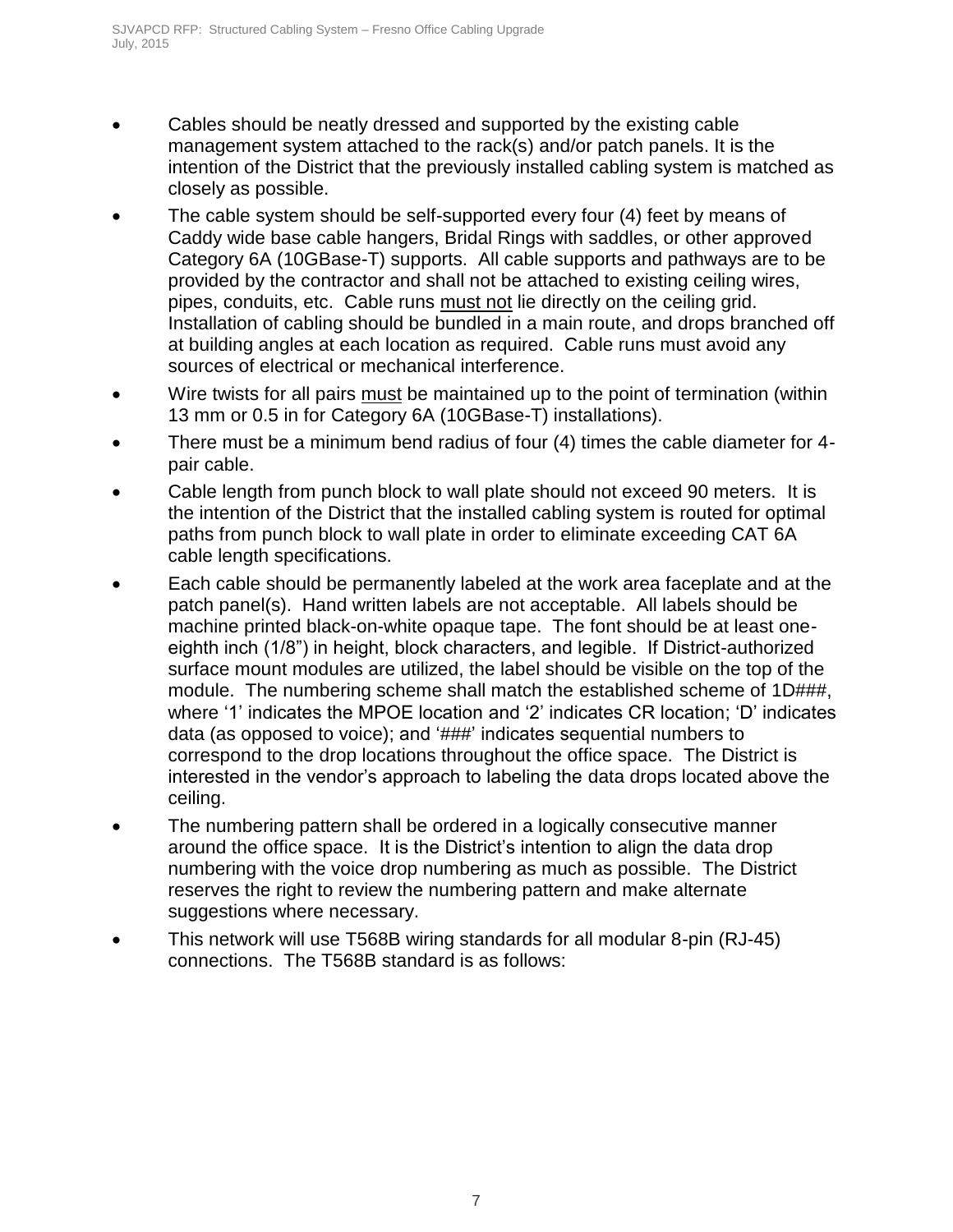- Cables should be neatly dressed and supported by the existing cable management system attached to the rack(s) and/or patch panels. It is the intention of the District that the previously installed cabling system is matched as closely as possible.
- The cable system should be self-supported every four (4) feet by means of Caddy wide base cable hangers, Bridal Rings with saddles, or other approved Category 6A (10GBase-T) supports. All cable supports and pathways are to be provided by the contractor and shall not be attached to existing ceiling wires, pipes, conduits, etc. Cable runs must not lie directly on the ceiling grid. Installation of cabling should be bundled in a main route, and drops branched off at building angles at each location as required. Cable runs must avoid any sources of electrical or mechanical interference.
- Wire twists for all pairs must be maintained up to the point of termination (within 13 mm or 0.5 in for Category 6A (10GBase-T) installations).
- There must be a minimum bend radius of four (4) times the cable diameter for 4 pair cable.
- Cable length from punch block to wall plate should not exceed 90 meters. It is the intention of the District that the installed cabling system is routed for optimal paths from punch block to wall plate in order to eliminate exceeding CAT 6A cable length specifications.
- Each cable should be permanently labeled at the work area faceplate and at the patch panel(s). Hand written labels are not acceptable. All labels should be machine printed black-on-white opaque tape. The font should be at least oneeighth inch (1/8") in height, block characters, and legible. If District-authorized surface mount modules are utilized, the label should be visible on the top of the module. The numbering scheme shall match the established scheme of 1D###, where '1' indicates the MPOE location and '2' indicates CR location; 'D' indicates data (as opposed to voice); and '###' indicates sequential numbers to correspond to the drop locations throughout the office space. The District is interested in the vendor's approach to labeling the data drops located above the ceiling.
- The numbering pattern shall be ordered in a logically consecutive manner around the office space. It is the District's intention to align the data drop numbering with the voice drop numbering as much as possible. The District reserves the right to review the numbering pattern and make alternate suggestions where necessary.
- This network will use T568B wiring standards for all modular 8-pin (RJ-45) connections. The T568B standard is as follows: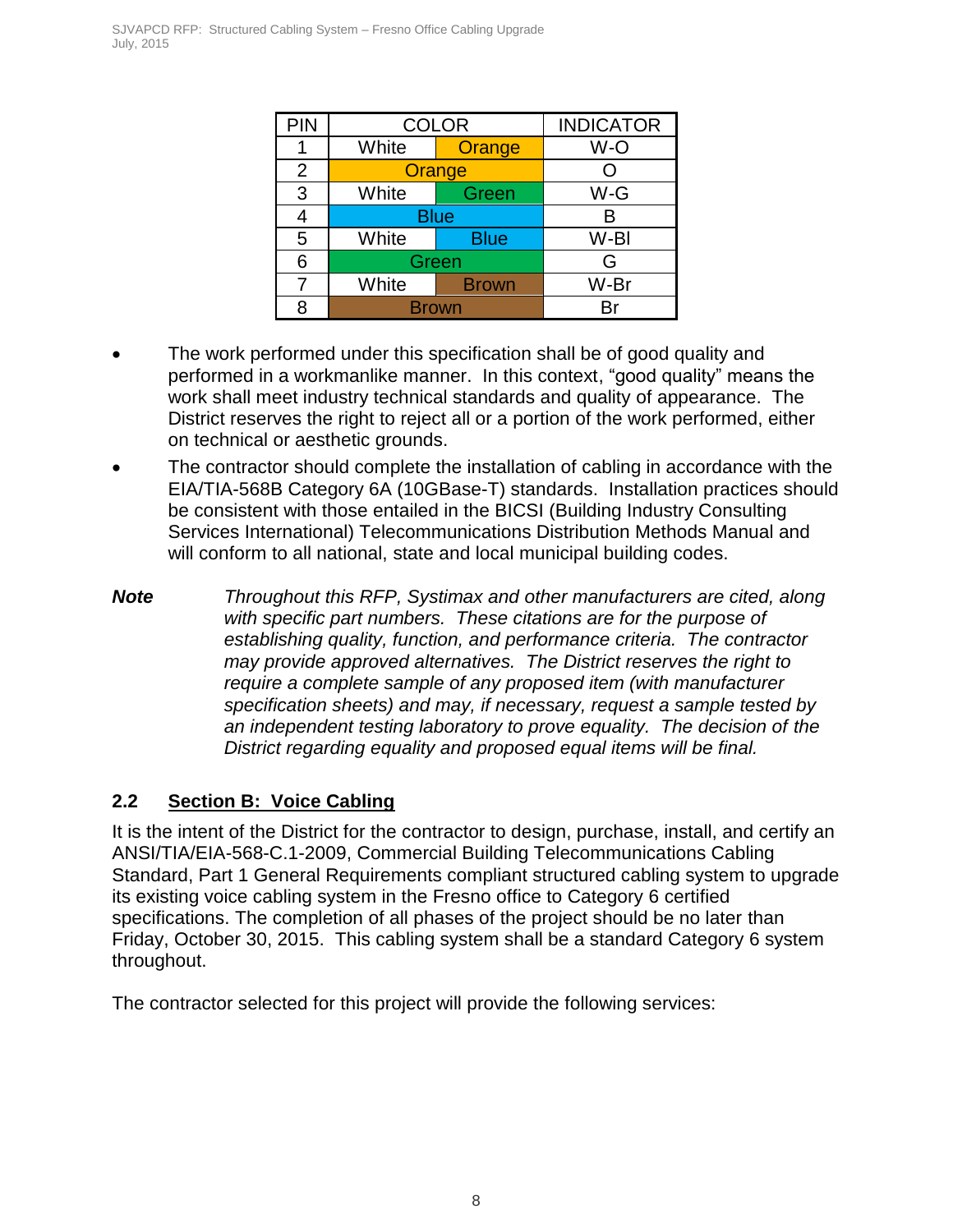| <b>PIN</b> | <b>COLOR</b> | <b>INDICATOR</b> |      |  |
|------------|--------------|------------------|------|--|
|            | White        | Orange           | W-O  |  |
| 2          |              | Orange           |      |  |
| 3          | White        | Green            | W-G  |  |
|            |              | <b>Blue</b>      |      |  |
| 5          | White        | <b>Blue</b>      | W-BI |  |
| 6          | Green        | G                |      |  |
|            | White        | <b>Brown</b>     | W-Br |  |
| я          | <b>Brown</b> |                  |      |  |

- The work performed under this specification shall be of good quality and performed in a workmanlike manner. In this context, "good quality" means the work shall meet industry technical standards and quality of appearance. The District reserves the right to reject all or a portion of the work performed, either on technical or aesthetic grounds.
- The contractor should complete the installation of cabling in accordance with the EIA/TIA-568B Category 6A (10GBase-T) standards. Installation practices should be consistent with those entailed in the BICSI (Building Industry Consulting Services International) Telecommunications Distribution Methods Manual and will conform to all national, state and local municipal building codes.

*Note Throughout this RFP, Systimax and other manufacturers are cited, along with specific part numbers. These citations are for the purpose of establishing quality, function, and performance criteria. The contractor may provide approved alternatives. The District reserves the right to require a complete sample of any proposed item (with manufacturer specification sheets) and may, if necessary, request a sample tested by an independent testing laboratory to prove equality. The decision of the District regarding equality and proposed equal items will be final.*

### <span id="page-8-0"></span>**2.2 Section B: Voice Cabling**

It is the intent of the District for the contractor to design, purchase, install, and certify an ANSI/TIA/EIA-568-C.1-2009, Commercial Building Telecommunications Cabling Standard, Part 1 General Requirements compliant structured cabling system to upgrade its existing voice cabling system in the Fresno office to Category 6 certified specifications. The completion of all phases of the project should be no later than Friday, October 30, 2015. This cabling system shall be a standard Category 6 system throughout.

The contractor selected for this project will provide the following services: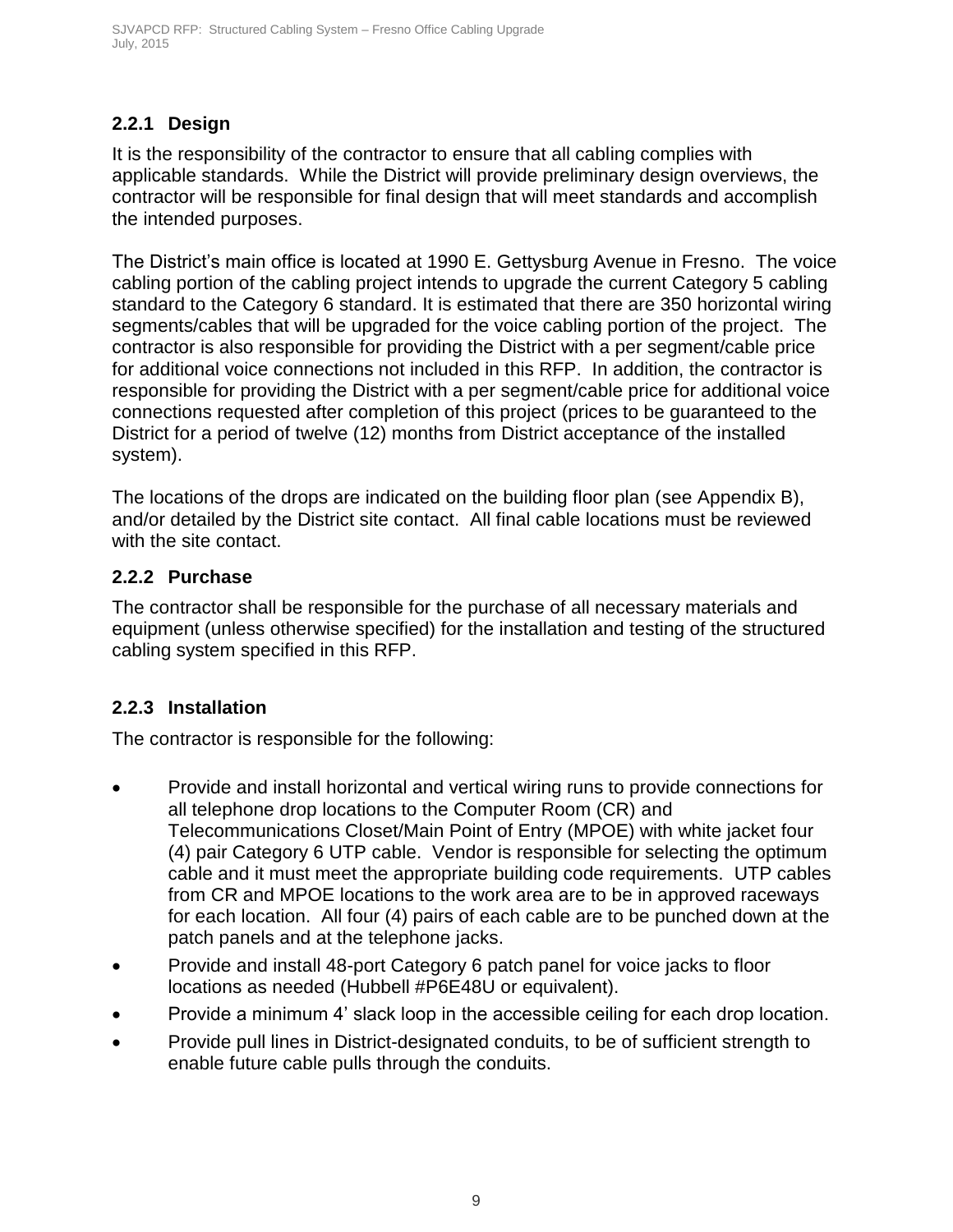### **2.2.1 Design**

It is the responsibility of the contractor to ensure that all cabling complies with applicable standards. While the District will provide preliminary design overviews, the contractor will be responsible for final design that will meet standards and accomplish the intended purposes.

The District's main office is located at 1990 E. Gettysburg Avenue in Fresno. The voice cabling portion of the cabling project intends to upgrade the current Category 5 cabling standard to the Category 6 standard. It is estimated that there are 350 horizontal wiring segments/cables that will be upgraded for the voice cabling portion of the project. The contractor is also responsible for providing the District with a per segment/cable price for additional voice connections not included in this RFP. In addition, the contractor is responsible for providing the District with a per segment/cable price for additional voice connections requested after completion of this project (prices to be guaranteed to the District for a period of twelve (12) months from District acceptance of the installed system).

The locations of the drops are indicated on the building floor plan (see Appendix B), and/or detailed by the District site contact. All final cable locations must be reviewed with the site contact.

### **2.2.2 Purchase**

The contractor shall be responsible for the purchase of all necessary materials and equipment (unless otherwise specified) for the installation and testing of the structured cabling system specified in this RFP.

### **2.2.3 Installation**

The contractor is responsible for the following:

- Provide and install horizontal and vertical wiring runs to provide connections for all telephone drop locations to the Computer Room (CR) and Telecommunications Closet/Main Point of Entry (MPOE) with white jacket four (4) pair Category 6 UTP cable. Vendor is responsible for selecting the optimum cable and it must meet the appropriate building code requirements. UTP cables from CR and MPOE locations to the work area are to be in approved raceways for each location. All four (4) pairs of each cable are to be punched down at the patch panels and at the telephone jacks.
- Provide and install 48-port Category 6 patch panel for voice jacks to floor locations as needed (Hubbell #P6E48U or equivalent).
- Provide a minimum 4' slack loop in the accessible ceiling for each drop location.
- Provide pull lines in District-designated conduits, to be of sufficient strength to enable future cable pulls through the conduits.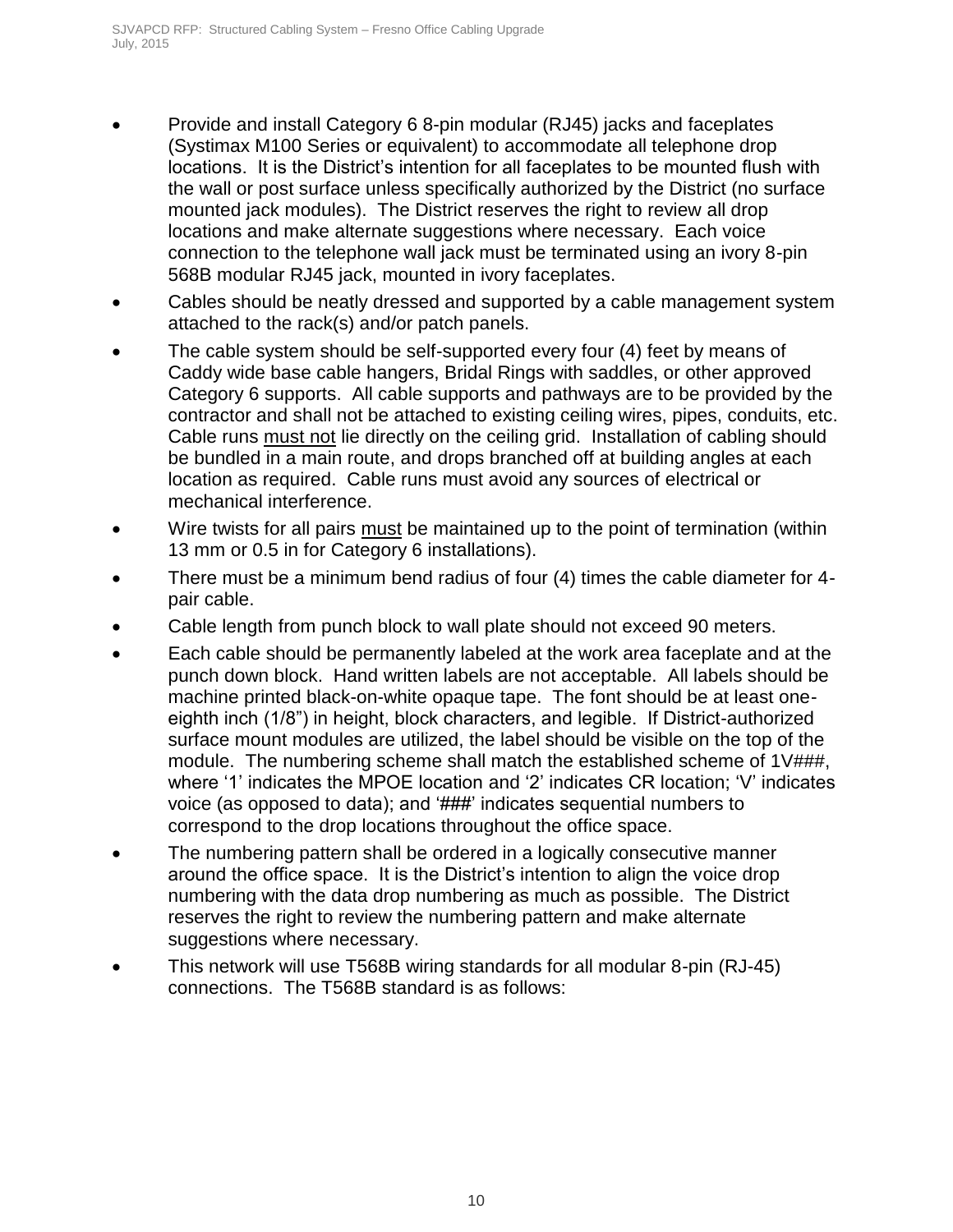- Provide and install Category 6 8-pin modular (RJ45) jacks and faceplates (Systimax M100 Series or equivalent) to accommodate all telephone drop locations. It is the District's intention for all faceplates to be mounted flush with the wall or post surface unless specifically authorized by the District (no surface mounted jack modules). The District reserves the right to review all drop locations and make alternate suggestions where necessary. Each voice connection to the telephone wall jack must be terminated using an ivory 8-pin 568B modular RJ45 jack, mounted in ivory faceplates.
- Cables should be neatly dressed and supported by a cable management system attached to the rack(s) and/or patch panels.
- The cable system should be self-supported every four (4) feet by means of Caddy wide base cable hangers, Bridal Rings with saddles, or other approved Category 6 supports. All cable supports and pathways are to be provided by the contractor and shall not be attached to existing ceiling wires, pipes, conduits, etc. Cable runs must not lie directly on the ceiling grid. Installation of cabling should be bundled in a main route, and drops branched off at building angles at each location as required. Cable runs must avoid any sources of electrical or mechanical interference.
- Wire twists for all pairs must be maintained up to the point of termination (within 13 mm or 0.5 in for Category 6 installations).
- There must be a minimum bend radius of four (4) times the cable diameter for 4 pair cable.
- Cable length from punch block to wall plate should not exceed 90 meters.
- Each cable should be permanently labeled at the work area faceplate and at the punch down block. Hand written labels are not acceptable. All labels should be machine printed black-on-white opaque tape. The font should be at least oneeighth inch (1/8") in height, block characters, and legible. If District-authorized surface mount modules are utilized, the label should be visible on the top of the module. The numbering scheme shall match the established scheme of 1V###, where '1' indicates the MPOE location and '2' indicates CR location; 'V' indicates voice (as opposed to data); and '###' indicates sequential numbers to correspond to the drop locations throughout the office space.
- The numbering pattern shall be ordered in a logically consecutive manner around the office space. It is the District's intention to align the voice drop numbering with the data drop numbering as much as possible. The District reserves the right to review the numbering pattern and make alternate suggestions where necessary.
- This network will use T568B wiring standards for all modular 8-pin (RJ-45) connections. The T568B standard is as follows: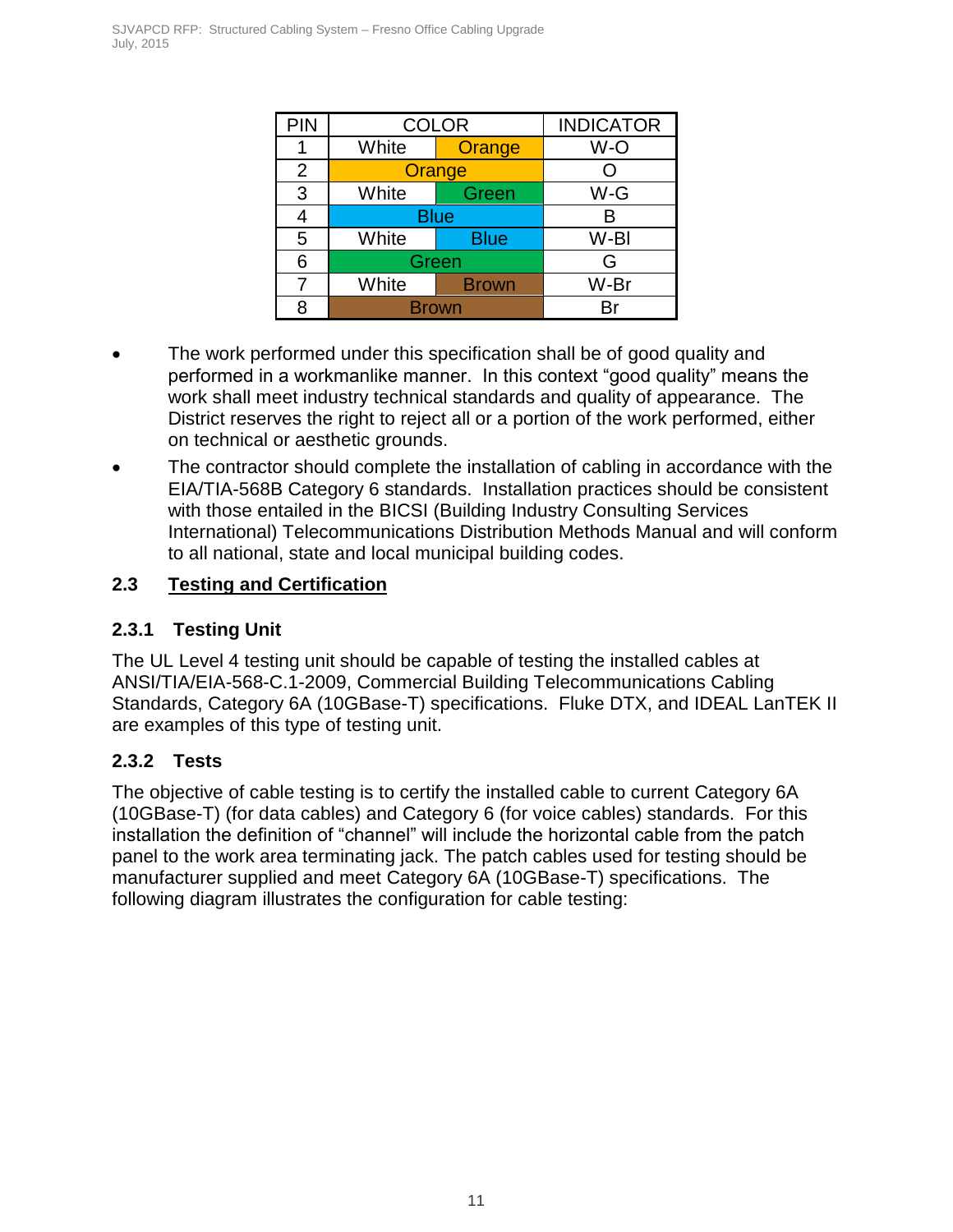| PIN | <b>COLOR</b> | <b>INDICATOR</b> |      |  |  |
|-----|--------------|------------------|------|--|--|
|     | White        | Orange           | W-O  |  |  |
| 2   |              | Orange           |      |  |  |
| 3   | White        | W-G<br>Green     |      |  |  |
|     | <b>Blue</b>  | в                |      |  |  |
| 5   | White        | <b>Blue</b>      | W-BI |  |  |
| 6   | Green        | G                |      |  |  |
|     | White        | <b>Brown</b>     | W-Br |  |  |
| я   | Brown        |                  |      |  |  |

- The work performed under this specification shall be of good quality and performed in a workmanlike manner. In this context "good quality" means the work shall meet industry technical standards and quality of appearance. The District reserves the right to reject all or a portion of the work performed, either on technical or aesthetic grounds.
- The contractor should complete the installation of cabling in accordance with the EIA/TIA-568B Category 6 standards. Installation practices should be consistent with those entailed in the BICSI (Building Industry Consulting Services International) Telecommunications Distribution Methods Manual and will conform to all national, state and local municipal building codes.

### <span id="page-11-0"></span>**2.3 Testing and Certification**

### **2.3.1 Testing Unit**

The UL Level 4 testing unit should be capable of testing the installed cables at ANSI/TIA/EIA-568-C.1-2009, Commercial Building Telecommunications Cabling Standards, Category 6A (10GBase-T) specifications. Fluke DTX, and IDEAL LanTEK II are examples of this type of testing unit.

### **2.3.2 Tests**

The objective of cable testing is to certify the installed cable to current Category 6A (10GBase-T) (for data cables) and Category 6 (for voice cables) standards. For this installation the definition of "channel" will include the horizontal cable from the patch panel to the work area terminating jack. The patch cables used for testing should be manufacturer supplied and meet Category 6A (10GBase-T) specifications. The following diagram illustrates the configuration for cable testing: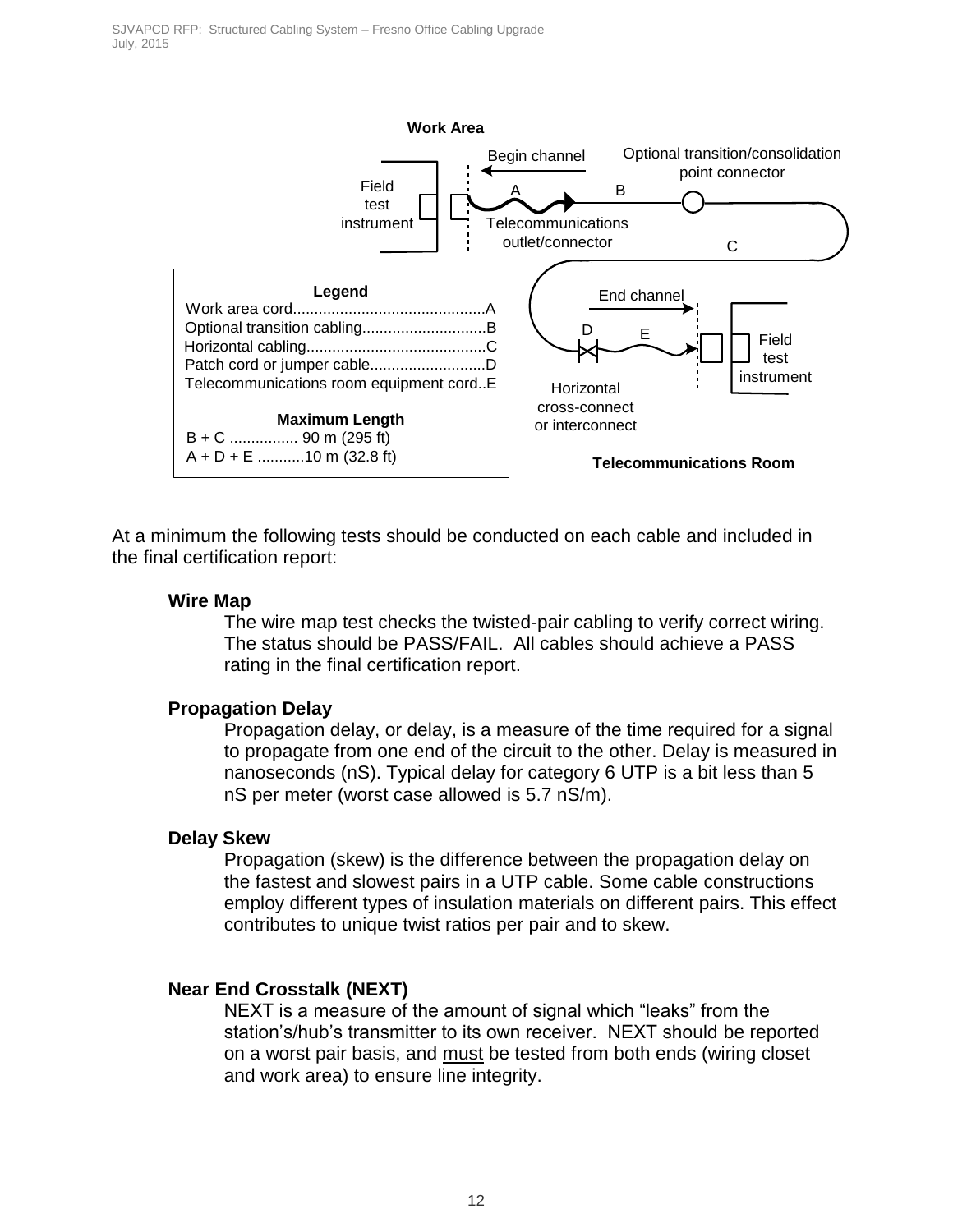

At a minimum the following tests should be conducted on each cable and included in the final certification report:

#### **Wire Map**

The wire map test checks the twisted-pair cabling to verify correct wiring. The status should be PASS/FAIL. All cables should achieve a PASS rating in the final certification report.

#### **Propagation Delay**

Propagation delay, or delay, is a measure of the time required for a signal to propagate from one end of the circuit to the other. Delay is measured in nanoseconds (nS). Typical delay for category 6 UTP is a bit less than 5 nS per meter (worst case allowed is 5.7 nS/m).

#### **Delay Skew**

Propagation (skew) is the difference between the propagation delay on the fastest and slowest pairs in a UTP cable. Some cable constructions employ different types of insulation materials on different pairs. This effect contributes to unique twist ratios per pair and to skew.

#### **Near End Crosstalk (NEXT)**

NEXT is a measure of the amount of signal which "leaks" from the station's/hub's transmitter to its own receiver. NEXT should be reported on a worst pair basis, and must be tested from both ends (wiring closet and work area) to ensure line integrity.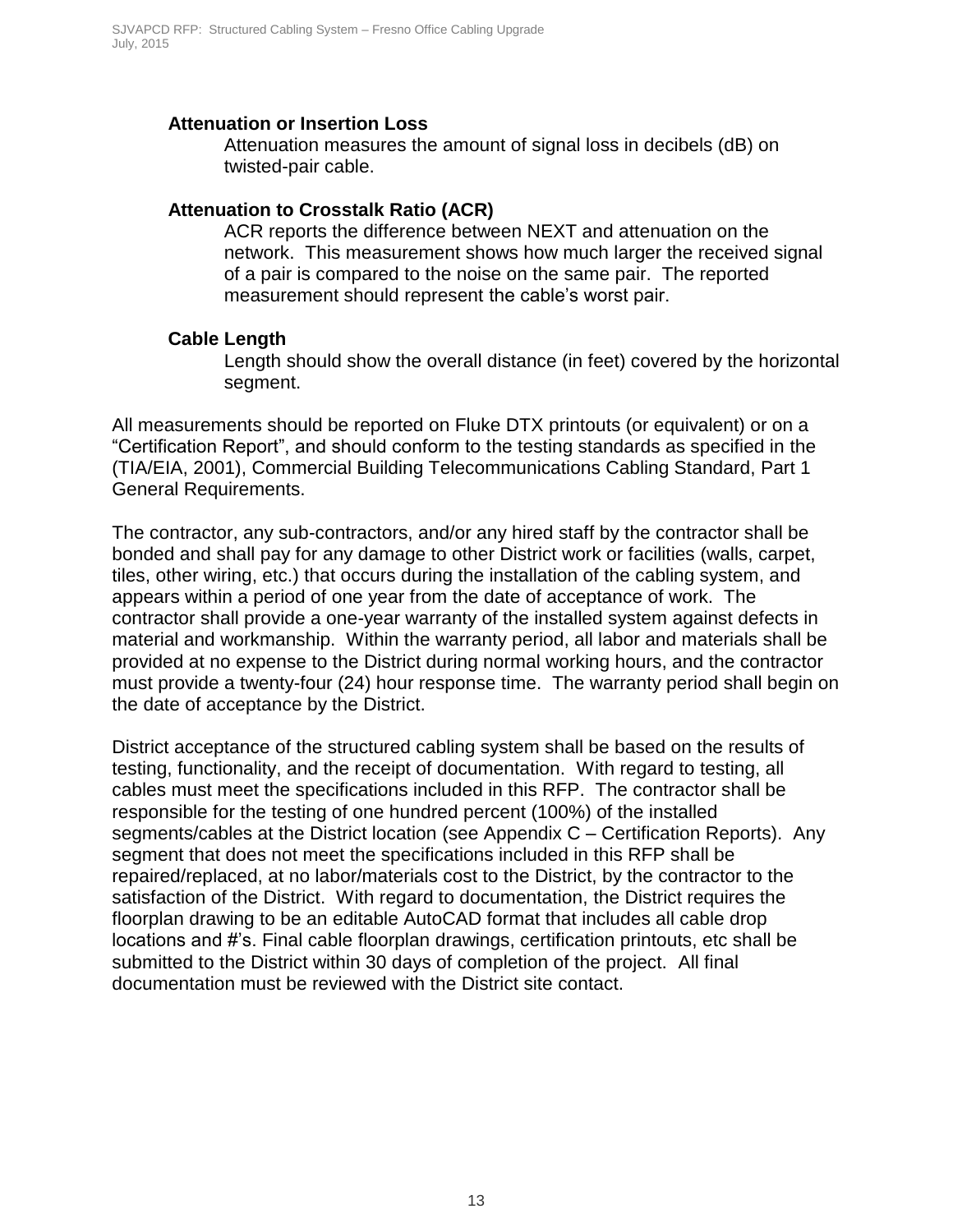#### **Attenuation or Insertion Loss**

Attenuation measures the amount of signal loss in decibels (dB) on twisted-pair cable.

#### **Attenuation to Crosstalk Ratio (ACR)**

ACR reports the difference between NEXT and attenuation on the network. This measurement shows how much larger the received signal of a pair is compared to the noise on the same pair. The reported measurement should represent the cable's worst pair.

#### **Cable Length**

Length should show the overall distance (in feet) covered by the horizontal segment.

All measurements should be reported on Fluke DTX printouts (or equivalent) or on a "Certification Report", and should conform to the testing standards as specified in the (TIA/EIA, 2001), Commercial Building Telecommunications Cabling Standard, Part 1 General Requirements.

The contractor, any sub-contractors, and/or any hired staff by the contractor shall be bonded and shall pay for any damage to other District work or facilities (walls, carpet, tiles, other wiring, etc.) that occurs during the installation of the cabling system, and appears within a period of one year from the date of acceptance of work. The contractor shall provide a one-year warranty of the installed system against defects in material and workmanship. Within the warranty period, all labor and materials shall be provided at no expense to the District during normal working hours, and the contractor must provide a twenty-four (24) hour response time. The warranty period shall begin on the date of acceptance by the District.

District acceptance of the structured cabling system shall be based on the results of testing, functionality, and the receipt of documentation. With regard to testing, all cables must meet the specifications included in this RFP. The contractor shall be responsible for the testing of one hundred percent (100%) of the installed segments/cables at the District location (see Appendix C – Certification Reports). Any segment that does not meet the specifications included in this RFP shall be repaired/replaced, at no labor/materials cost to the District, by the contractor to the satisfaction of the District. With regard to documentation, the District requires the floorplan drawing to be an editable AutoCAD format that includes all cable drop locations and #'s. Final cable floorplan drawings, certification printouts, etc shall be submitted to the District within 30 days of completion of the project. All final documentation must be reviewed with the District site contact.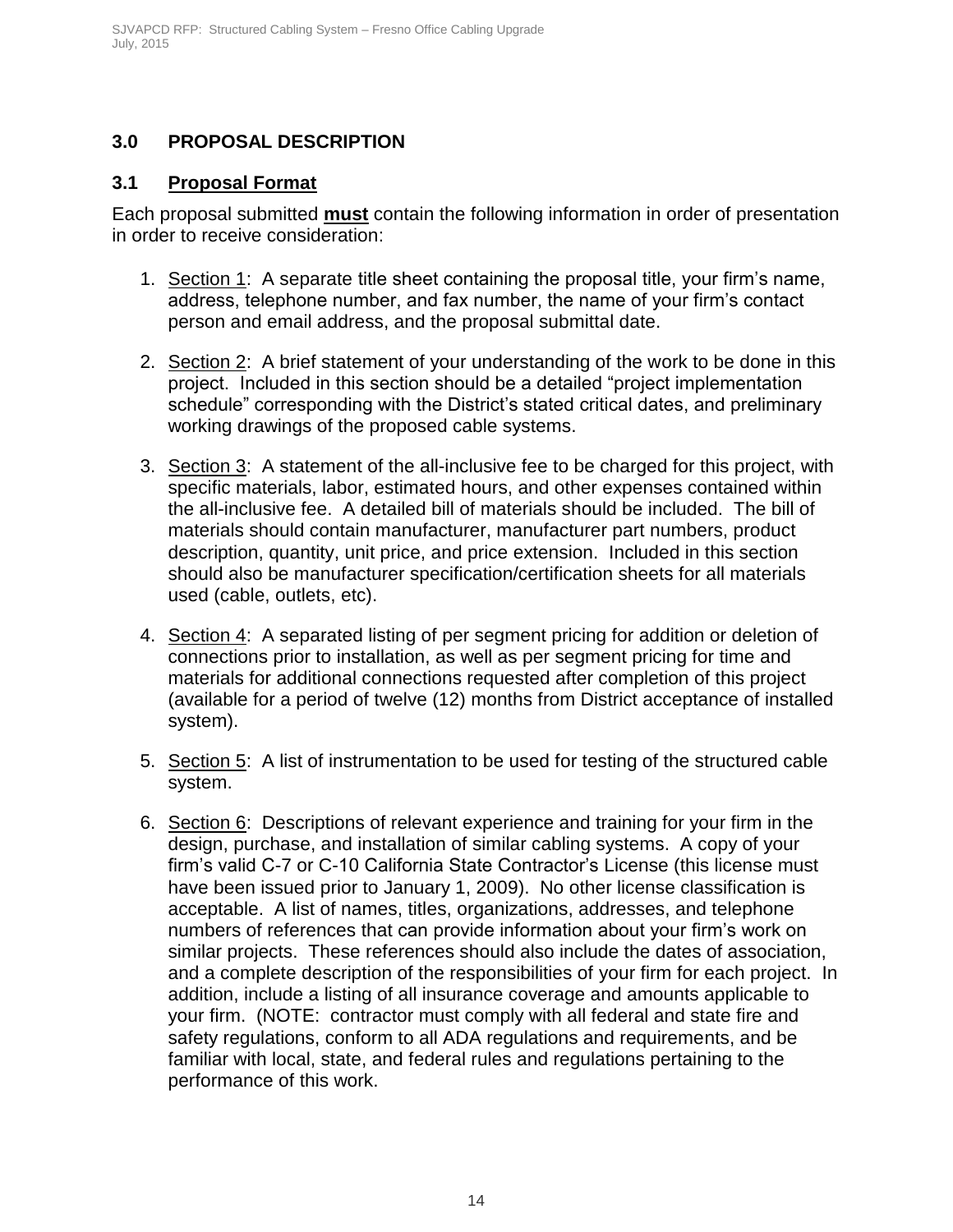### <span id="page-14-0"></span>**3.0 PROPOSAL DESCRIPTION**

#### <span id="page-14-1"></span>**3.1 Proposal Format**

Each proposal submitted **must** contain the following information in order of presentation in order to receive consideration:

- 1. Section 1: A separate title sheet containing the proposal title, your firm's name, address, telephone number, and fax number, the name of your firm's contact person and email address, and the proposal submittal date.
- 2. Section 2: A brief statement of your understanding of the work to be done in this project. Included in this section should be a detailed "project implementation schedule" corresponding with the District's stated critical dates, and preliminary working drawings of the proposed cable systems.
- 3. Section 3: A statement of the all-inclusive fee to be charged for this project, with specific materials, labor, estimated hours, and other expenses contained within the all-inclusive fee. A detailed bill of materials should be included. The bill of materials should contain manufacturer, manufacturer part numbers, product description, quantity, unit price, and price extension. Included in this section should also be manufacturer specification/certification sheets for all materials used (cable, outlets, etc).
- 4. Section 4: A separated listing of per segment pricing for addition or deletion of connections prior to installation, as well as per segment pricing for time and materials for additional connections requested after completion of this project (available for a period of twelve (12) months from District acceptance of installed system).
- 5. Section 5: A list of instrumentation to be used for testing of the structured cable system.
- 6. Section 6: Descriptions of relevant experience and training for your firm in the design, purchase, and installation of similar cabling systems. A copy of your firm's valid C-7 or C-10 California State Contractor's License (this license must have been issued prior to January 1, 2009). No other license classification is acceptable. A list of names, titles, organizations, addresses, and telephone numbers of references that can provide information about your firm's work on similar projects. These references should also include the dates of association, and a complete description of the responsibilities of your firm for each project. In addition, include a listing of all insurance coverage and amounts applicable to your firm. (NOTE: contractor must comply with all federal and state fire and safety regulations, conform to all ADA regulations and requirements, and be familiar with local, state, and federal rules and regulations pertaining to the performance of this work.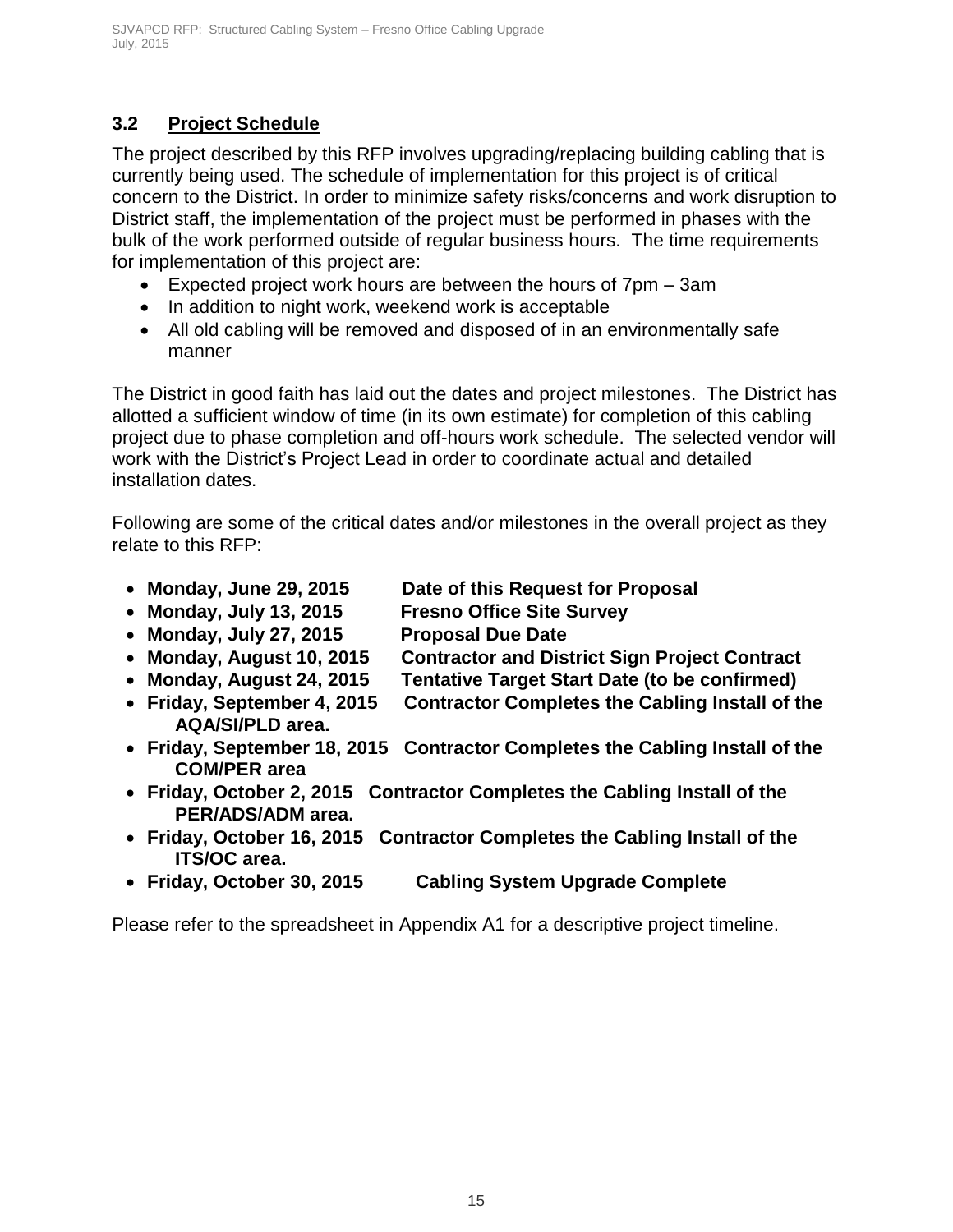### <span id="page-15-0"></span>**3.2 Project Schedule**

The project described by this RFP involves upgrading/replacing building cabling that is currently being used. The schedule of implementation for this project is of critical concern to the District. In order to minimize safety risks/concerns and work disruption to District staff, the implementation of the project must be performed in phases with the bulk of the work performed outside of regular business hours. The time requirements for implementation of this project are:

- Expected project work hours are between the hours of 7pm 3am
- In addition to night work, weekend work is acceptable
- All old cabling will be removed and disposed of in an environmentally safe manner

The District in good faith has laid out the dates and project milestones. The District has allotted a sufficient window of time (in its own estimate) for completion of this cabling project due to phase completion and off-hours work schedule. The selected vendor will work with the District's Project Lead in order to coordinate actual and detailed installation dates.

Following are some of the critical dates and/or milestones in the overall project as they relate to this RFP:

- **Monday, June 29, 2015 Date of this Request for Proposal**
- **Monday, July 13, 2015 Fresno Office Site Survey**
- **Monday, July 27, 2015 Proposal Due Date**
- **Monday, August 10, 2015 Contractor and District Sign Project Contract**
- **Monday, August 24, 2015 Tentative Target Start Date (to be confirmed)**
- **Friday, September 4, 2015 Contractor Completes the Cabling Install of the AQA/SI/PLD area.**
- **Friday, September 18, 2015 Contractor Completes the Cabling Install of the COM/PER area**
- **Friday, October 2, 2015 Contractor Completes the Cabling Install of the PER/ADS/ADM area.**
- **Friday, October 16, 2015 Contractor Completes the Cabling Install of the ITS/OC area.**
- **Friday, October 30, 2015 Cabling System Upgrade Complete**

Please refer to the spreadsheet in Appendix A1 for a descriptive project timeline.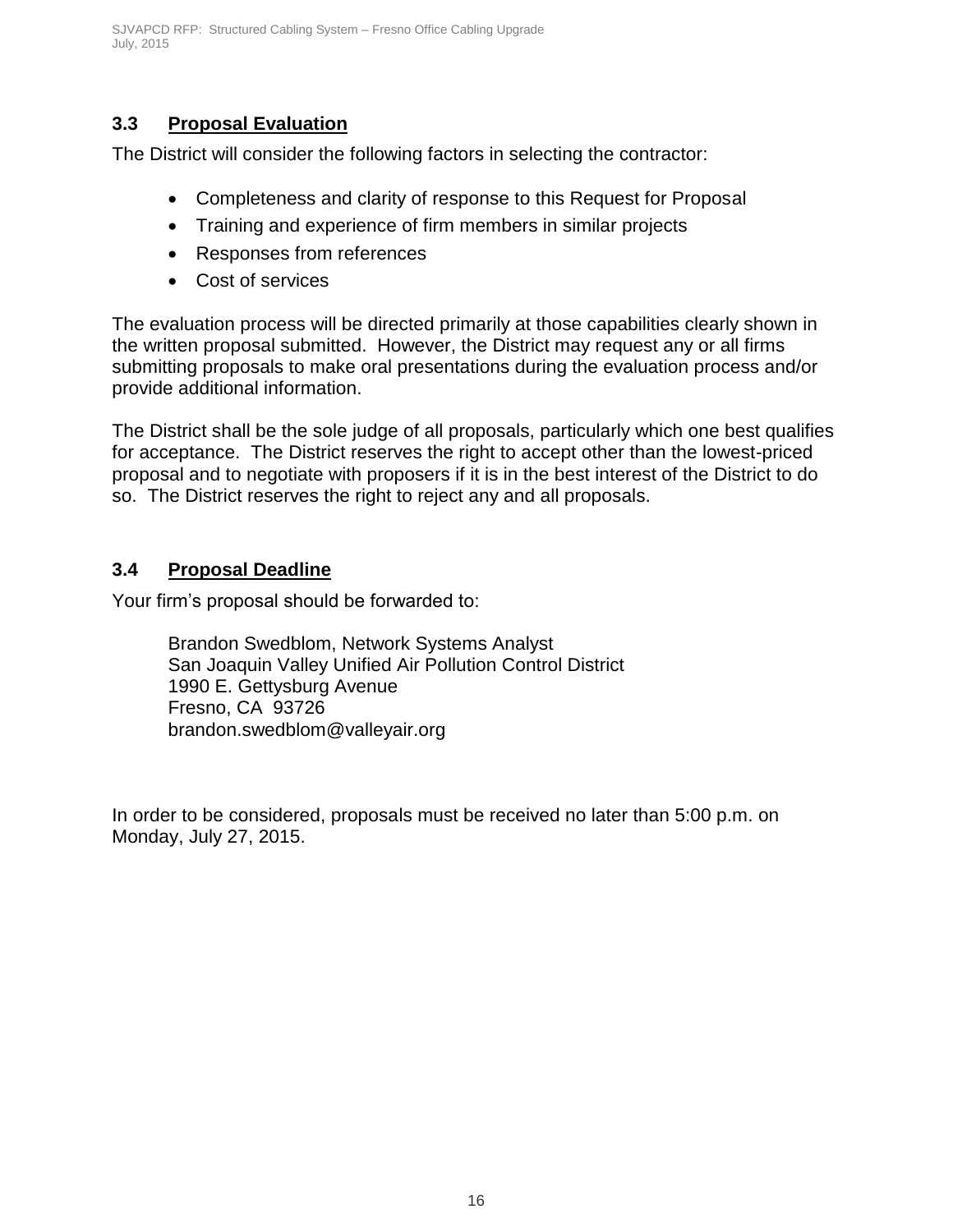### <span id="page-16-0"></span>**3.3 Proposal Evaluation**

The District will consider the following factors in selecting the contractor:

- Completeness and clarity of response to this Request for Proposal
- Training and experience of firm members in similar projects
- Responses from references
- Cost of services

The evaluation process will be directed primarily at those capabilities clearly shown in the written proposal submitted. However, the District may request any or all firms submitting proposals to make oral presentations during the evaluation process and/or provide additional information.

The District shall be the sole judge of all proposals, particularly which one best qualifies for acceptance. The District reserves the right to accept other than the lowest-priced proposal and to negotiate with proposers if it is in the best interest of the District to do so. The District reserves the right to reject any and all proposals.

### <span id="page-16-1"></span>**3.4 Proposal Deadline**

Your firm's proposal should be forwarded to:

Brandon Swedblom, Network Systems Analyst San Joaquin Valley Unified Air Pollution Control District 1990 E. Gettysburg Avenue Fresno, CA 93726 brandon.swedblom@valleyair.org

In order to be considered, proposals must be received no later than 5:00 p.m. on Monday, July 27, 2015.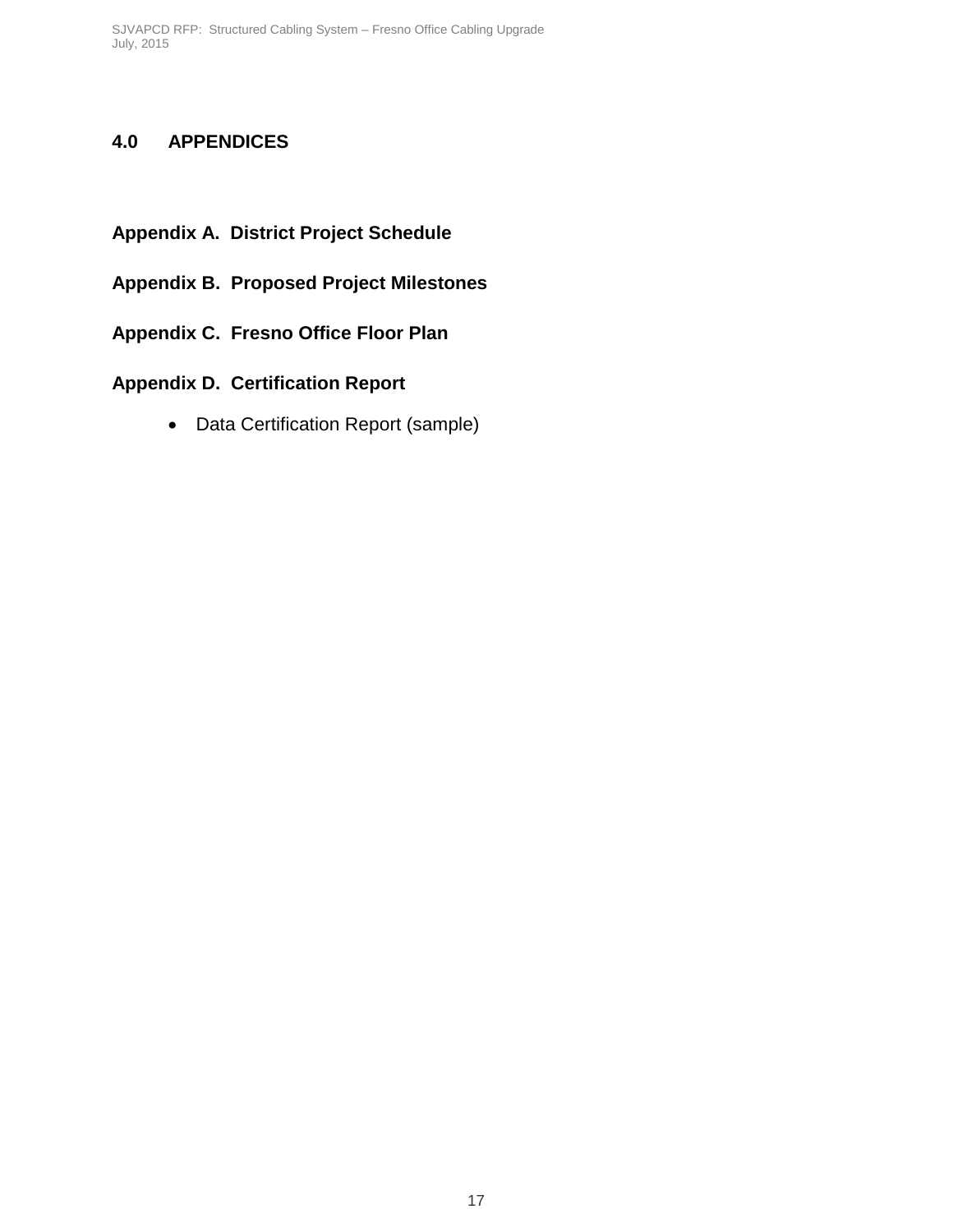### <span id="page-17-0"></span>**4.0 APPENDICES**

- **Appendix A. District Project Schedule**
- **Appendix B. Proposed Project Milestones**
- **Appendix C. Fresno Office Floor Plan**
- **Appendix D. Certification Report**
	- Data Certification Report (sample)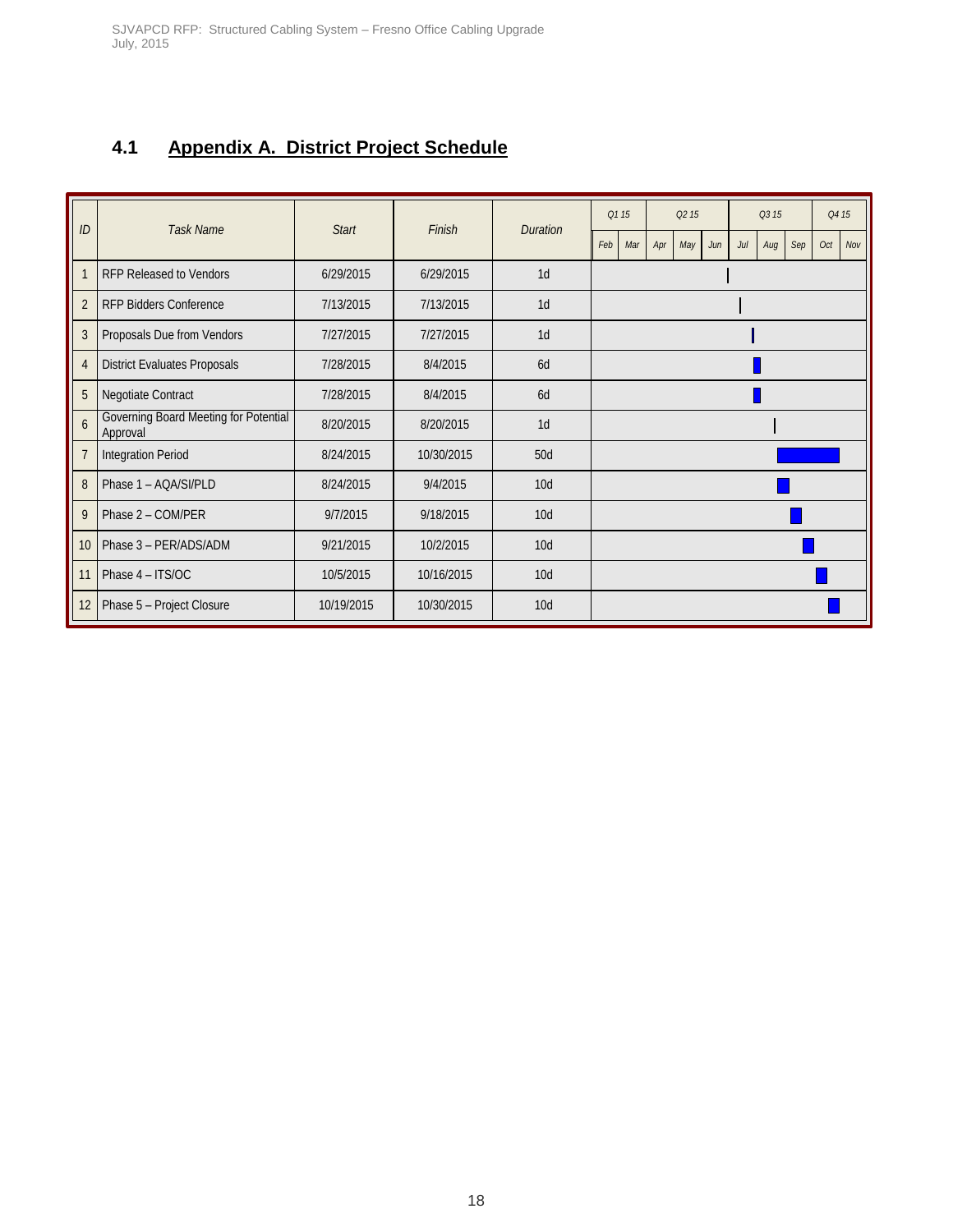### <span id="page-18-0"></span>**4.1 Appendix A. District Project Schedule**

| ID              | <b>Task Name</b>                                  |              | Finish     |                 | Q1 15 |     | Q <sub>2</sub> 15 |     |     | Q3 15 |     |     | Q4 15 |     |
|-----------------|---------------------------------------------------|--------------|------------|-----------------|-------|-----|-------------------|-----|-----|-------|-----|-----|-------|-----|
|                 |                                                   | <b>Start</b> |            | <b>Duration</b> | Feb   | Mar | Apr               | May | Jun | Jul   | Aug | Sep | Oct   | Nov |
| 1               | <b>RFP Released to Vendors</b>                    | 6/29/2015    | 6/29/2015  | 1 <sub>d</sub>  |       |     |                   |     |     |       |     |     |       |     |
| $\overline{2}$  | <b>RFP Bidders Conference</b>                     | 7/13/2015    | 7/13/2015  | 1 <sub>d</sub>  |       |     |                   |     |     |       |     |     |       |     |
| 3               | Proposals Due from Vendors                        | 7/27/2015    | 7/27/2015  | 1 <sub>d</sub>  |       |     |                   |     |     |       |     |     |       |     |
| $\overline{4}$  | <b>District Evaluates Proposals</b>               | 7/28/2015    | 8/4/2015   | 6d              |       |     |                   |     |     |       |     |     |       |     |
| 5               | Negotiate Contract                                | 7/28/2015    | 8/4/2015   | 6d              |       |     |                   |     |     |       |     |     |       |     |
| $6\overline{6}$ | Governing Board Meeting for Potential<br>Approval | 8/20/2015    | 8/20/2015  | 1 <sub>d</sub>  |       |     |                   |     |     |       |     |     |       |     |
| $\overline{7}$  | <b>Integration Period</b>                         | 8/24/2015    | 10/30/2015 | 50d             |       |     |                   |     |     |       |     |     |       |     |
| 8               | Phase 1 - AQA/SI/PLD                              | 8/24/2015    | 9/4/2015   | 10 <sub>d</sub> |       |     |                   |     |     |       |     |     |       |     |
| 9               | Phase 2 - COM/PER                                 | 9/7/2015     | 9/18/2015  | 10 <sub>d</sub> |       |     |                   |     |     |       |     |     |       |     |
| 10              | Phase 3 - PER/ADS/ADM                             | 9/21/2015    | 10/2/2015  | 10 <sub>d</sub> |       |     |                   |     |     |       |     |     |       |     |
| 11              | Phase 4 - ITS/OC                                  | 10/5/2015    | 10/16/2015 | 10d             |       |     |                   |     |     |       |     |     |       |     |
| 12              | Phase 5 - Project Closure                         | 10/19/2015   | 10/30/2015 | 10 <sub>d</sub> |       |     |                   |     |     |       |     |     |       |     |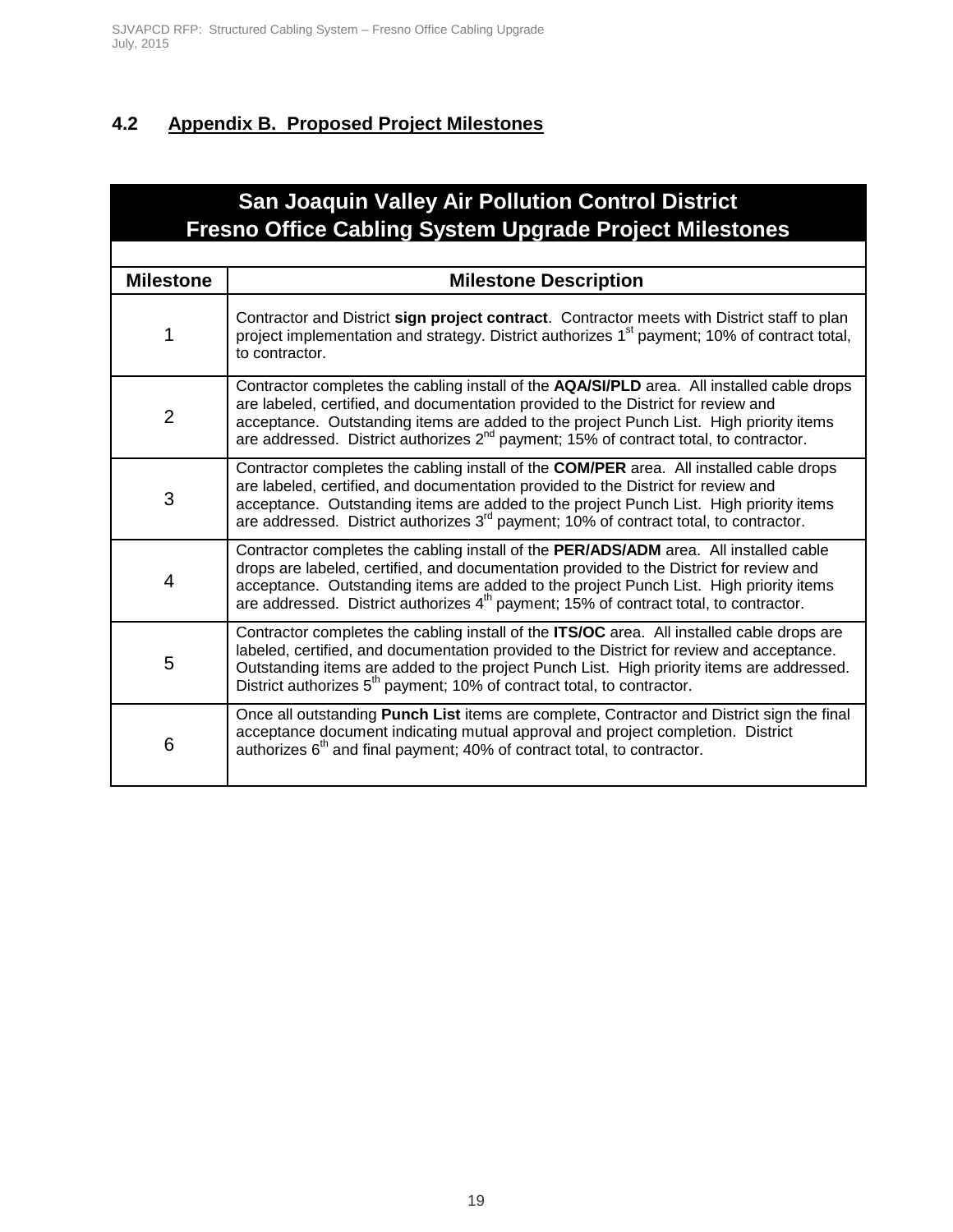### <span id="page-19-0"></span>**4.2 Appendix B. Proposed Project Milestones**

### **San Joaquin Valley Air Pollution Control District Fresno Office Cabling System Upgrade Project Milestones**

| <b>Milestone</b> | <b>Milestone Description</b>                                                                                                                                                                                                                                                                                                                                                    |
|------------------|---------------------------------------------------------------------------------------------------------------------------------------------------------------------------------------------------------------------------------------------------------------------------------------------------------------------------------------------------------------------------------|
| $\mathbf{1}$     | Contractor and District sign project contract. Contractor meets with District staff to plan<br>project implementation and strategy. District authorizes 1 <sup>st</sup> payment; 10% of contract total,<br>to contractor.                                                                                                                                                       |
| $\overline{2}$   | Contractor completes the cabling install of the AQA/SI/PLD area. All installed cable drops<br>are labeled, certified, and documentation provided to the District for review and<br>acceptance. Outstanding items are added to the project Punch List. High priority items<br>are addressed. District authorizes 2 <sup>nd</sup> payment; 15% of contract total, to contractor.  |
| 3                | Contractor completes the cabling install of the COM/PER area. All installed cable drops<br>are labeled, certified, and documentation provided to the District for review and<br>acceptance. Outstanding items are added to the project Punch List. High priority items<br>are addressed. District authorizes 3 <sup>rd</sup> payment; 10% of contract total, to contractor.     |
| 4                | Contractor completes the cabling install of the PER/ADS/ADM area. All installed cable<br>drops are labeled, certified, and documentation provided to the District for review and<br>acceptance. Outstanding items are added to the project Punch List. High priority items<br>are addressed. District authorizes 4 <sup>th</sup> payment; 15% of contract total, to contractor. |
| 5                | Contractor completes the cabling install of the ITS/OC area. All installed cable drops are<br>labeled, certified, and documentation provided to the District for review and acceptance.<br>Outstanding items are added to the project Punch List. High priority items are addressed.<br>District authorizes 5 <sup>th</sup> payment; 10% of contract total, to contractor.      |
| 6                | Once all outstanding <b>Punch List</b> items are complete, Contractor and District sign the final<br>acceptance document indicating mutual approval and project completion. District<br>authorizes 6 <sup>th</sup> and final payment; 40% of contract total, to contractor.                                                                                                     |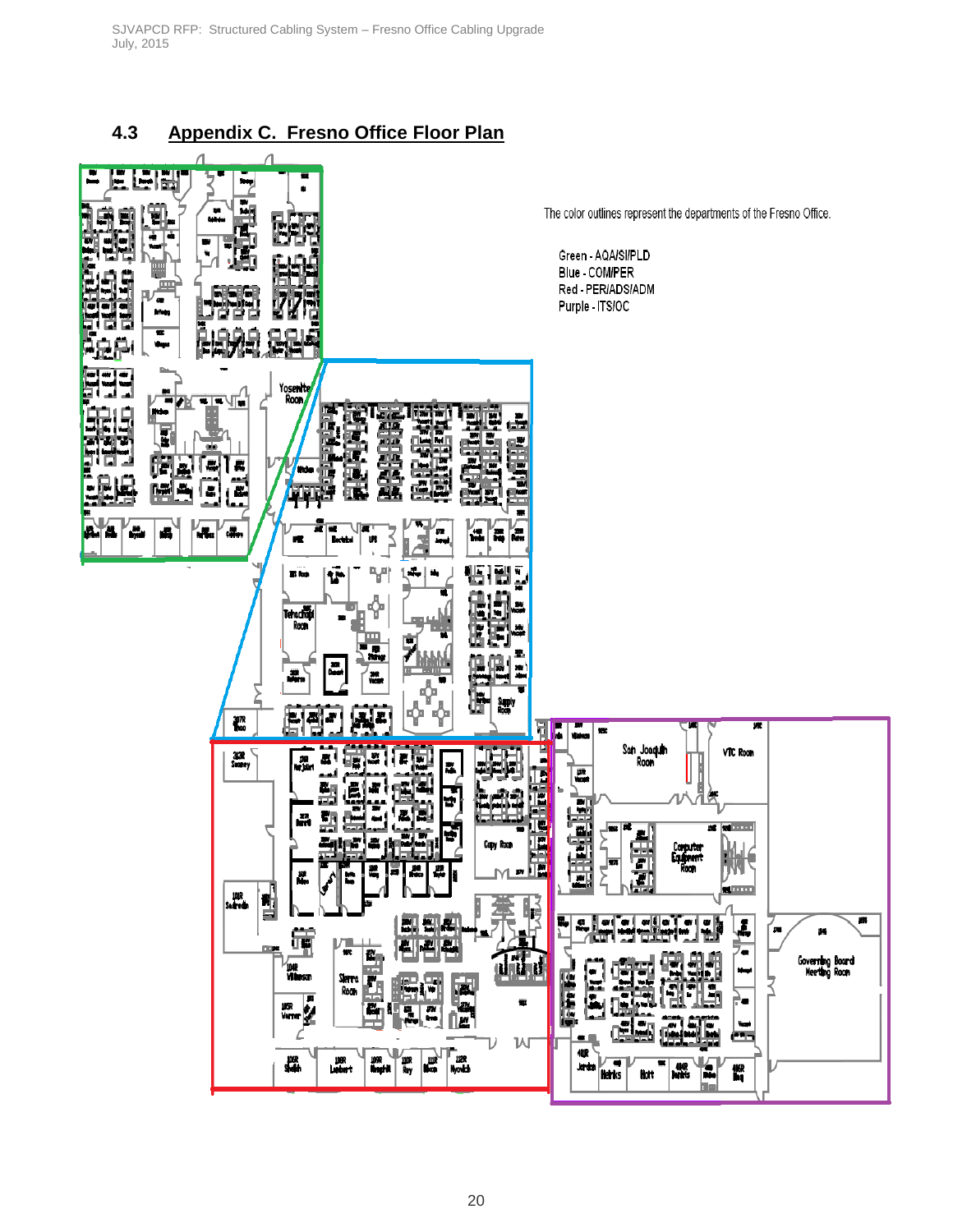### <span id="page-20-0"></span>**4.3 Appendix C. Fresno Office Floor Plan**